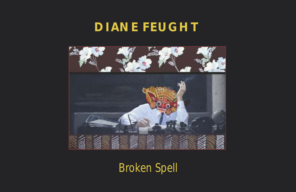# **DIANE FEUGHT**



*Broken Spell*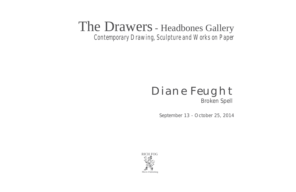# The Drawers - Headbones Gallery

*Contemporary Drawing, Sculpture and Works on Paper*

# Diane Feught *Broken Spell*

September 13 - October 25, 2014

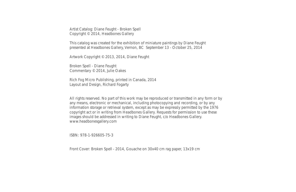Artist Catalog: Diane Feught - Broken Spell Copyright © 2014, Headbones Gallery

This catalog was created for the exhibition of miniature paintings by Diane Feught presented at Headbones Gallery, Vernon, BC September 13 - October 25, 2014

Artwork Copyright © 2013, 2014, Diane Feught

Broken Spell - Diane Feught Commentary © 2014, Julie Oakes

Rich Fog Micro Publishing, printed in Canada, 2014 Layout and Design, Richard Fogarty

All rights reserved. No part of this work may be reproduced or transmitted in any form or by any means, electronic or mechanical, including photocopying and recording, or by any information storage or retrieval system, except as may be expressly permitted by the 1976 copyright act or in writing from Headbones Gallery. Requests for permission to use these images should be addressed in writing to Diane Feught, c/o Headbones Gallery. www.headbonesgallery.com

ISBN: 978-1-926605-75-3

Front Cover: *Broken Spell* - 2014, Gouache on 30x40 cm rag paper, 13x19 cm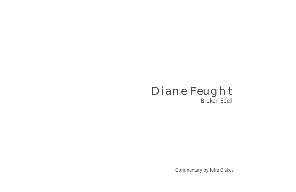

Commentary by Julie Oakes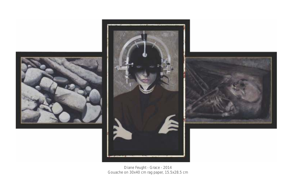





Diane Feught - *Grace* - 2014 Gouache on 30x40 cm rag paper, 15.5x28.5 cm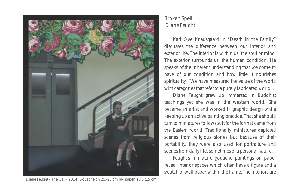

#### Diane Feught - *The Call* - 2014, Gouache on 25x20 cm rag paper, 18.5x15 cm

# *Broken Spell* Diane Feught

Karl Ove Knausgaard in "Death in the Family" discusses the difference between our interior and exterior life. The interior is within us, the soul or mind. The exterior surrounds us, the human condition. He speaks of the inherent understanding that we come to have of our condition and how *little* it nourishes spirituality. "We have measured the value of the world with categories that refer to a purely fabricated world".

Diane Feught grew up immersed in Buddhist teachings yet she was in the western world. She became an artist and worked in graphic design while keeping up an active painting practice. That she should turn to miniatures follows suit for the format came from the Eastern world. Traditionally miniatures depicted scenes from religious stories but because of their portability, they were also used for portraiture and scenes from daily life, sometimes of a personal nature.

Feught's miniature gouache paintings on paper reveal interior spaces which often have a figure and a swatch of wall paper within the frame. The interiors are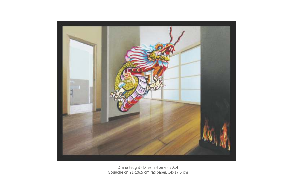

Diane Feught - *Dream Home* - 2014 Gouache on 21x26.5 cm rag paper, 14x17.5 cm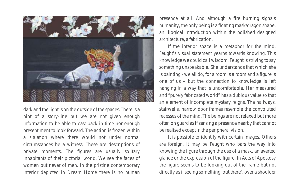

hint of a story-line but we are not given enough recesses of the mind. The beings are not relaxed but more information to be able to cast back in time nor enough often on guard as if sensing a presence nearby that cannot presentiment to look forward. The action is frozen within be realised except in the peripheral vision. a situation where there would *not* under normal It is possible to identify with certain images. Others circumstances be a witness. These are descriptions of are foreign. It may be Feught who bars the way into private moments. The figures are usually solitary knowing the figure through the use of a mask, an averted inhabitants of their pictorial world. We see the faces of glance or the expression of the figure. In *Acts of Apostosy* women but never of men. In the pristine contemporary the figure seems to be looking out of the frame but not interior depicted in *Dream Home* there is no human directly as if seeing something 'out there', over a shoulder

presence at all. And although a fire burning signals humanity, the only being is a floating mask/dragon shape, an illogical introduction within the polished designed architecture, a fabrication.

If the interior space is a metaphor for the mind, Feught's visual statement yearns towards knowing. This knowledge we could call wisdom. Feught is striving to say something unspeakable. She *understands* that which she is painting - we all do, for a room is a room and a figure is one of us – but the connection to knowledge is left hanging in a way that is uncomfortable. Her measured and "purely fabricated world" has a dubious value so that an element of incomplete mystery reigns. The hallways, dark and the light is on the outside of the spaces. There is a stairwells, narrow door frames resemble the convoluted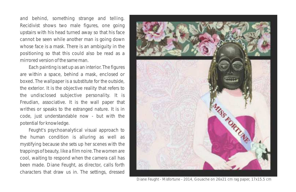and behind, something strange and telling. *Recidivist* shows two male figures, one going upstairs with his head turned away so that his face cannot be seen while another man is going down whose face is a mask. There is an ambiguity in the positioning so that this could also be read as a mirrored version of the same man.

Each painting is set up as an interior. The figures are within a space, behind a mask, enclosed or boxed. The wallpaper is a substitute for the outside, the exterior. It is the objective reality that refers to the undisclosed subjective personality. It is Freudian, associative. It is the wall paper that writhes or speaks to the estranged nature. It is in code, just understandable now - but with the potential for knowledge.

Feught's psychoanalytical visual approach to the human condition is alluring as well as mystifying because she sets up her scenes with the trappings of beauty, like a film noire. The women are cool, waiting to respond when the camera call has been made. Diane Feught, as director, calls forth characters that draw us in. The settings, dressed



Diane Feught - *Misfortune* - 2014, Gouache on 26x21 cm rag paper, 17x15.5 cm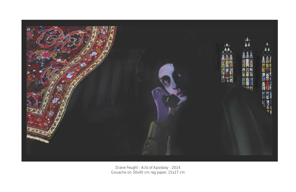

Diane Feught - *Acts of Apostasy* - 2014 Gouache on 30x40 cm rag paper, 15x27 cm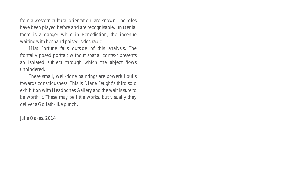from a western cultural orientation, are known. The roles have been played before and are recognisable. In *Denial*  there is a danger while in Benediction, the ingénue waiting with her hand poised is desirable.

*Miss Fortune* falls outside of this analysis. The frontally posed portrait without spatial context presents an isolated subject through which the abject flows unhindered.

These small, well-done paintings are powerful pulls towards consciousness. This is Diane Feught's third solo exhibition with Headbones Gallery and the wait is sure to be worth it. These may be little works, but visually they deliver a Goliath-like punch.

Julie Oakes, 2014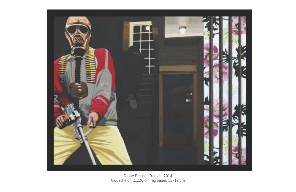

Diane Feught - Gouache on 21x26 cm rag paper, 15x19 cm *Denial* - 2014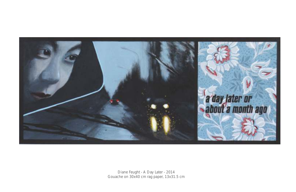

Diane Feught - *A Day Later* - 2014Gouache on 30x40 cm rag paper, 13x31.5 cm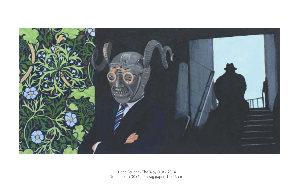

Diane Feught - Gouache on 30x40 cm rag paper, 12x25 cm *The Way Out* - 2014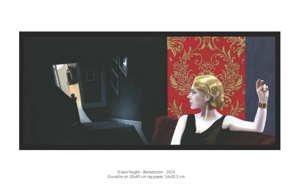

Diane Feught - Gouache on 30x40 cm rag paper, 14x30.5 cm *Benediction* - 2014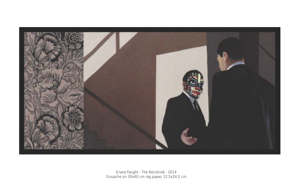

Diane Feught - Gouache on 30x40 cm rag paper, 12.5x24.5 cm *The Recidivist* - 2014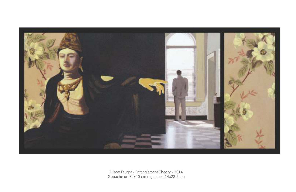

Diane Feught - Gouache on 30x40 cm rag paper, 14x28.5 cm *Entanglement Theory* - 2014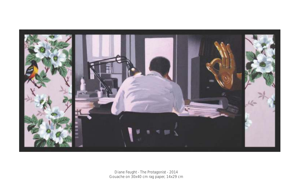

Diane Feught - Gouache on 30x40 cm rag paper, 14x29 cm *The Protagonist* - 2014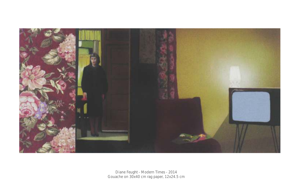

Diane Feught - Gouache on 30x40 cm rag paper, 12x24.5 cm *Modern Times* - 2014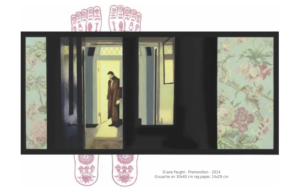





Diane Feught - Gouache on 30x40 cm rag paper, 14x29 cm *Premonition* - 2014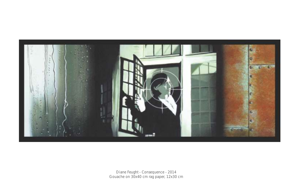

Diane Feught - Gouache on 30x40 cm rag paper, 12x30 cm *Consequence* - 2014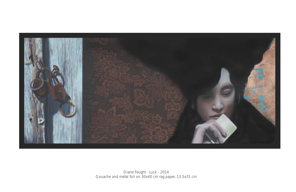

Diane Feught - Gouache and metal foil on 30x40 cm rag paper, 13.5x31 cm *Luck* - 2014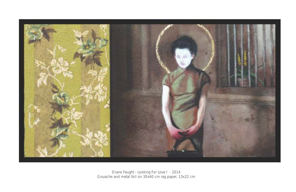

Diane Feught - Gouache and metal foil on 30x40 cm rag paper, 13x22 cm *Looking For Love I* - 2014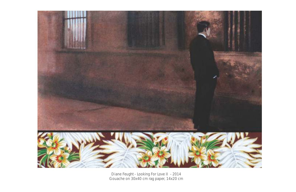

Diane Feught - Gouache on 30x40 cm rag paper, 14x20 cm *Looking For Love II* - 2014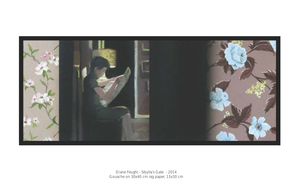

Diane Feught - Gouache on 30x40 cm rag paper, 13x30 cm *Sibylla's Gate* - 2014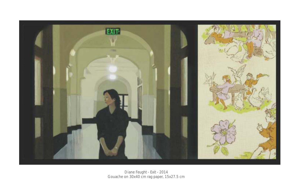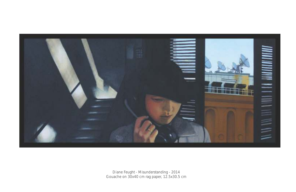

Diane Feught - Gouache on 30x40 cm rag paper, 12.5x30.5 cm *Misunderstanding* - 2014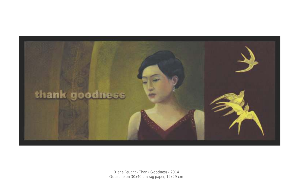

Diane Feught - *Thank Goodness* - 2014Gouache on 30x40 cm rag paper, 12x29 cm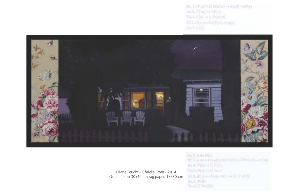$\mathbb{A} = \mathbb{L}\left\{P(\varphi) \wedge \mathbb{U} \, \forall x | \varphi(x) \rightarrow \psi(x) \right\} \rightarrow P(\varphi).$ Ax.2. P(~p) ++ ~P(y).  $\label{eq:1.1} \nabla h, L, P(\varphi) \rightarrow \psi \equiv \hat{c} \varphi(\varphi) \,.$  $\mathbb{D}\mathbb{E}\left[ \mathbb{E}_{\mathbb{E}}\left( \widetilde{c}(\mathbf{x})\right) \otimes \cdots \otimes \mathbb{V}(\mathbf{p})\right] \left( \mathbb{P}(\mathbf{p})\right) \rightarrow \mathbb{V}\left( \mathbf{r} \right) \right]$ 



Diane Feught - *Gödel's Proof* - 2014Gouache on 30x40 cm rag paper, 13x30 cm

 $T3.5.05 \pi G(z)$ Df. 2, p em n n-n p(b)/NVP (p(n)-+1795(p(n)-+ y(n))  $A \in \mathcal{A}$ .  $F(\varphi) \rightarrow G$ .  $F(\varphi)$  $\text{Th}, 1, G(z) \rightarrow G \Longleftrightarrow z$ Df. 3. B(z) 4-3Webt costs - D 3= p(x)}  $Ax.5.$   $P(B)$  $Th.4.$   $DB:$   $G(n)$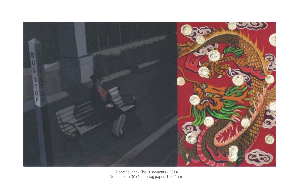

Diane Feught - Gouache on 30x40 cm rag paper, 12x21 cm *She Disappears* - 2014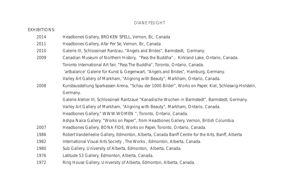## DIANE FEUGHT

| <b>EXHIBITIONS:</b> |                                                                                                       |
|---------------------|-------------------------------------------------------------------------------------------------------|
| 2014                | Headbones Gallery, BROKEN SPELL, Vernon, Bc, Canada                                                   |
| 2011                | Headbones Gallery, Afar Per Se, Vernon, Bc, Canada                                                    |
| 2010                | Galerie III, Schlossinsel Rantzau, "Angels and Brides", Barmstedt, Germany.                           |
| 2009                | Canadian Museum of Northern History, "Pass the Buddha", Kirkland Lake, Ontario, Canada.               |
|                     | Toronto International Art fair, "Pass The Buddha", Toronto, Ontario, Canada.                          |
|                     | 'artbalance' Galerie für Kunst & Gegenwart, "Angels and Brides", Hamburg, Germany.                    |
|                     | Varley Art Gallery of Markham, "Aligning with Beauty", Markham, Ontario, Canada.                      |
| 2008                | Kunstausstellung Sparkassen Arena, "Schau der 1000 Bilder", Works on Paper, Kiel, Schleswig-Holstein, |
|                     | Germany.                                                                                              |
|                     | Galerie Atelier III, Schlossinsel Rantzaue "Kanadische Wochen in Barmstedt", Barmstedt, Germany.      |
|                     | Varley Art Gallery of Markham, "Aligning with Beauty", Markham, Ontario, Canada.                      |
|                     | Headbones Gallery," WWW.WOMEN ", Toronto, Ontario, Canada.                                            |
|                     | Ashpa Naira Gallery, "Works on Paper", from Headbones Gallery, Vernon, British Columbia               |
| 2007                | Headbones Gallery, BONA FIDE, Works on Paper, Toronto, Ontario, Canada.                               |
| 1986                | Robert Vanderleelie Gallery, Edmonton, Alberta, Canada Banff Centre for the Arts, Banff, Alberta      |
| 1982                | International Visual Arts Society, The Works, Edmonton, Alberta, Canada.                              |
| 1980                | Sub Gallery, University of Alberta, Edmonton, Alberta, Canada.                                        |
| 1976                | Latitude 53 Gallery, Edmonton, Alberta, Canada.                                                       |
| 1972                | Ring House Gallery, University of Alberta, Edmonton, Alberta, Canada.                                 |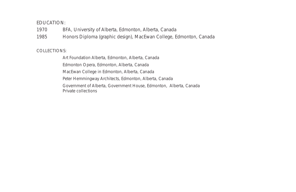## EDUCATION:

1970 BFA, University of Alberta, Edmonton, Alberta, Canada

1985 Honors Diploma (graphic design), MacEwan College, Edmonton, Canada

### COLLECTIONS:

Art Foundation Alberta, Edmonton, Alberta, Canada

Edmonton Opera, Edmonton, Alberta, Canada

MacEwan College in Edmonton, Alberta, Canada

Peter Hemmingway Architects, Edmonton, Alberta, Canada

Government of Alberta, Government House, Edmonton, Alberta, Canada Private collections